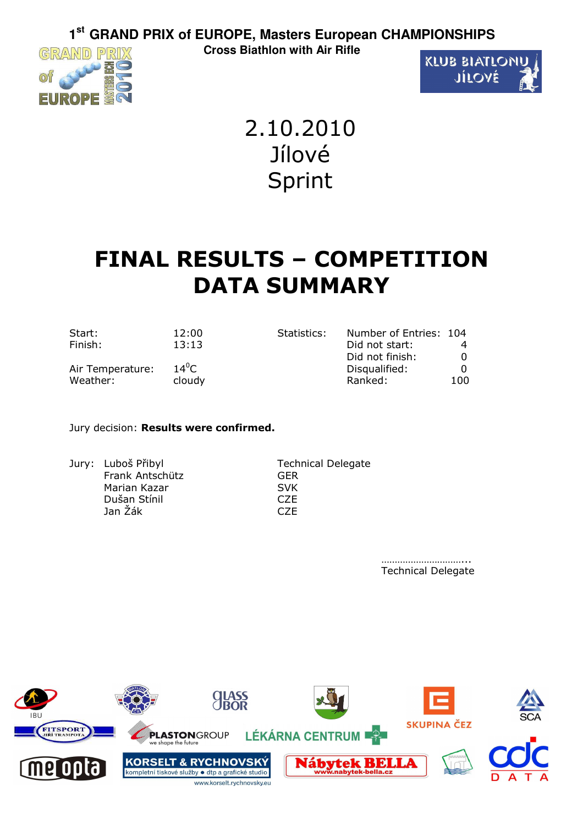GRAND PRIX



2.10.2010 Jílové Sprint

# **FINAL RESULTS – COMPETITION DATA SUMMARY**

| Start:           | 12:00   | Statistics: | Number of Entries: 104 |     |
|------------------|---------|-------------|------------------------|-----|
| Finish:          | 13:13   |             | Did not start:         |     |
|                  |         |             | Did not finish:        |     |
| Air Temperature: | $14^0C$ |             | Disqualified:          |     |
| Weather:         | cloudy  |             | Ranked:                | 100 |

### Jury decision: **Results were confirmed.**

Jury: Luboš Přibyl Technical Delegate Frank Antschütz GER Marian Kazar SVK Dušan Stínil CZE Jan Žák CZE

…………………………… Technical Delegate

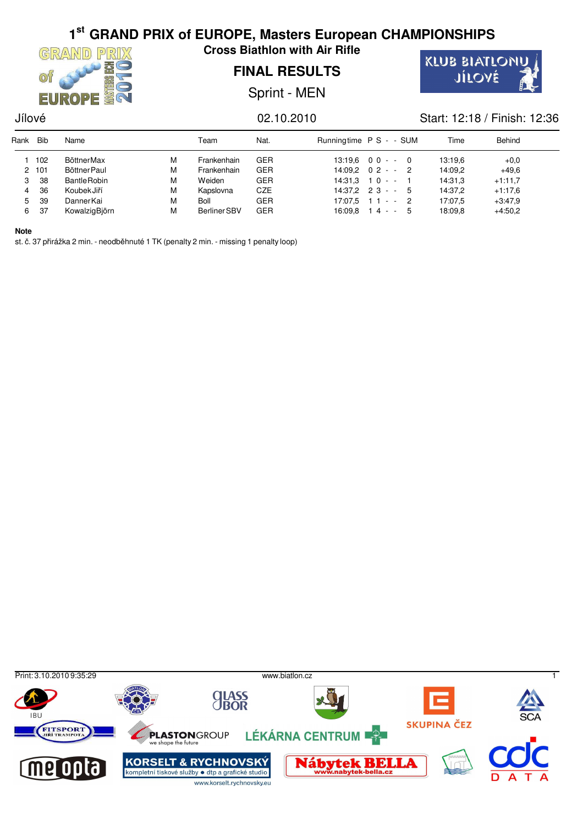

**Cross Biathlon with Air Rifle**

## **FINAL RESULTS**

Sprint - MEN



### Jílové 02.10.2010 Start: 12:18 / Finish: 12:36

| Rank | <b>Bib</b> | Name                |   | Team                | Nat.       | Runningtime P S - - SUM | Time    | Behind    |  |
|------|------------|---------------------|---|---------------------|------------|-------------------------|---------|-----------|--|
|      | 102        | BöttnerMax          | м | Frankenhain         | <b>GER</b> | $13:19.6$ 0 0 - - 0     | 13:19.6 | $+0.0$    |  |
|      | 2 101      | Böttner Paul        | М | Frankenhain         | <b>GER</b> | $14:09.2 \quad 02 - 2$  | 14:09.2 | $+49.6$   |  |
| 3    | 38         | <b>Bantle Robin</b> | М | Weiden              | <b>GER</b> | $14:31.3$ 1 0 - -       | 14:31,3 | $+1:11.7$ |  |
|      | 36         | KoubekJiří          | М | Kapslovna           | CZE        | $14:37.2$ 2 3 - -<br>-5 | 14:37.2 | $+1.17.6$ |  |
| 5.   | 39         | DannerKai           | М | <b>Boll</b>         | <b>GER</b> | $17:07.5$ 1 1 - - 2     | 17:07.5 | $+3.47.9$ |  |
| 6    | 37         | KowalzigBjörn       | М | <b>Berliner SBV</b> | <b>GER</b> | $16.09.8$ 14 - -<br>5   | 18:09.8 | $+4:50,2$ |  |

**Note**

st. č. 37 přirážka 2 min. - neodběhnuté 1 TK (penalty 2 min. - missing 1 penalty loop)

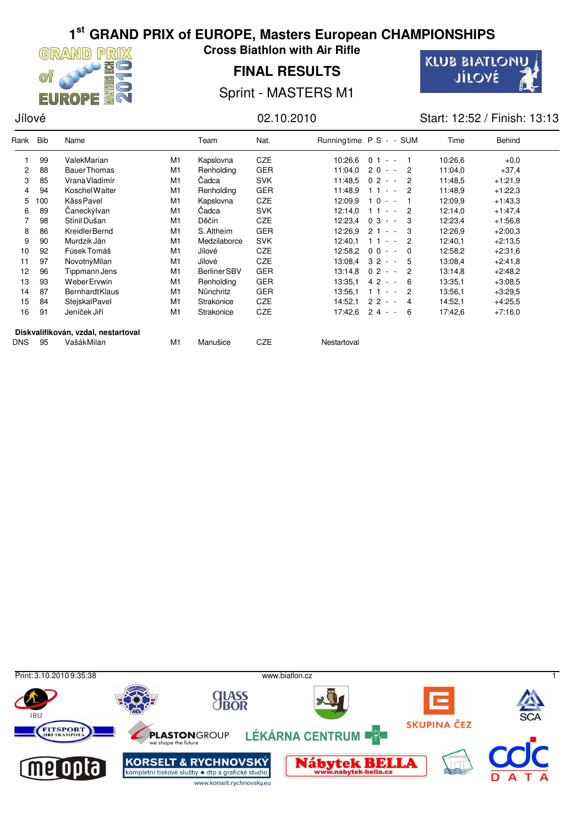

**Cross Biathlon with Air Rifle**

**FINAL RESULTS**



Sprint - MASTERS M1

Jílové 02.10.2010 Start: 12:52 / Finish: 13:13

| Rank       | Bib | Name                                |                | Team         | Nat.       |             | Runningtime P S - - SUM    | Time    | Behind    |  |
|------------|-----|-------------------------------------|----------------|--------------|------------|-------------|----------------------------|---------|-----------|--|
|            | 99  | ValekMarian                         | M1             | Kapslovna    | <b>CZE</b> | 10:26.6     | $01 - -$                   | 10:26.6 | $+0.0$    |  |
| 2          | 88  | <b>BauerThomas</b>                  | M <sub>1</sub> | Renholding   | <b>GER</b> | 11:04.0     | $20 - -$<br>2              | 11:04,0 | $+37,4$   |  |
| 3          | 85  | VranaVladimír                       | M <sub>1</sub> | Čadca        | <b>SVK</b> | 11:48,5     | $02 - -$<br>2              | 11:48.5 | $+1:21,9$ |  |
| 4          | 94  | <b>Koschel Walter</b>               | M <sub>1</sub> | Renholding   | <b>GER</b> | 11:48.9     | 2<br>$11 -$                | 11:48.9 | $+1:22.3$ |  |
| 5          | 100 | Käss Pavel                          | M1             | Kapslovna    | <b>CZE</b> | 12:09.9     | $10 - -$                   | 12:09.9 | $+1:43,3$ |  |
| 6          | 89  | Čaneckýlvan                         | M <sub>1</sub> | Čadca        | <b>SVK</b> | 12:14,0     | $11 -$<br>2                | 12:14,0 | $+1.47,4$ |  |
|            | 98  | Stínil Dušan                        | M <sub>1</sub> | Děčín        | <b>CZE</b> | 12:23,4     | $03 - -$<br>3              | 12:23,4 | $+1:56,8$ |  |
| 8          | 86  | <b>KreidlerBernd</b>                | M <sub>1</sub> | S. Altheim   | <b>GER</b> | 12:26.9     | $21 - -$<br>3              | 12:26,9 | $+2:00.3$ |  |
| 9          | 90  | Murdzik Ján                         | M1             | Medzilaborce | <b>SVK</b> | 12:40.1     | $11 - -$<br>$\overline{2}$ | 12:40.1 | $+2:13.5$ |  |
| 10         | 92  | Fúsek Tomáš                         | M <sub>1</sub> | Jílové       | <b>CZE</b> | 12:58,2     | $00 - -$<br>$\Omega$       | 12:58,2 | $+2:31,6$ |  |
| 11         | 97  | NovotnýMilan                        | M <sub>1</sub> | Jílové       | <b>CZE</b> | 13:08,4     | $32 - -$<br>5              | 13:08.4 | $+2:41,8$ |  |
| 12         | 96  | Tippmann Jens                       | M1             | Berliner SBV | <b>GER</b> | 13:14.8     | $02 - -$<br>2              | 13:14,8 | $+2:48,2$ |  |
| 13         | 93  | <b>WeberErvwin</b>                  | M1             | Renholding   | <b>GER</b> | 13.35,1     | $42 - -$<br>- 6            | 13:35.1 | $+3:08,5$ |  |
| 14         | 87  | <b>BernhardtKlaus</b>               | M <sub>1</sub> | Nünchritz    | <b>GER</b> | 13:56.1     | $11 - -$<br>-2             | 13:56.1 | $+3:29,5$ |  |
| 15         | 84  | SteiskalPavel                       | M <sub>1</sub> | Strakonice   | <b>CZE</b> | 14:52.1     | $22 - -$<br>4              | 14:52,1 | $+4:25.5$ |  |
| 16         | 91  | Jeníček Jiří                        | M <sub>1</sub> | Strakonice   | <b>CZE</b> | 17:42.6     | $24 - -$<br>6              | 17:42.6 | $+7:16,0$ |  |
|            |     | Diskvalifikován, vzdal, nestartoval |                |              |            |             |                            |         |           |  |
| <b>DNS</b> | 95  | VašákMilan                          | M <sub>1</sub> | Manušice     | <b>CZE</b> | Nestartoval |                            |         |           |  |

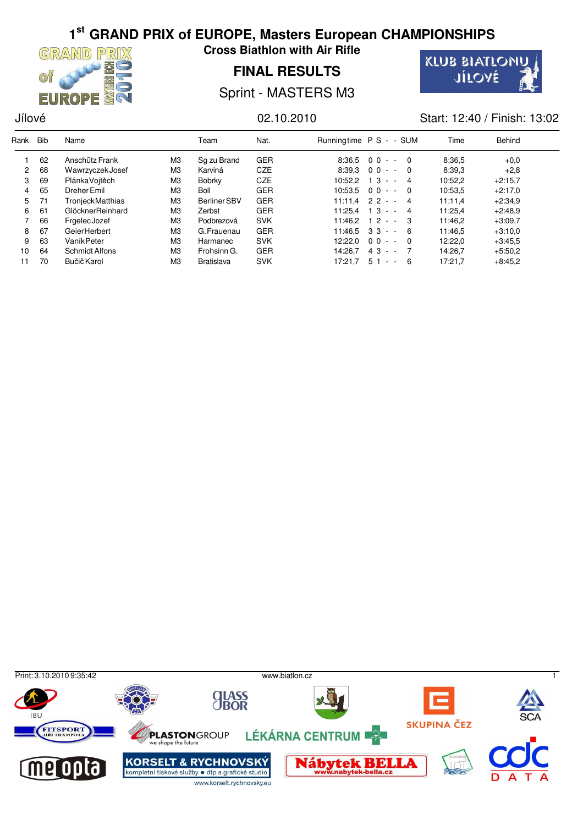

**Cross Biathlon with Air Rifle**

**FINAL RESULTS**



Sprint - MASTERS M3

Jílové 02.10.2010 Start: 12:40 / Finish: 13:02

| Rank                 | <b>Bib</b> | Name                  |                | Team                | Nat.       | Runningtime P S - - SUM |                   |                         | Time    | Behind    |
|----------------------|------------|-----------------------|----------------|---------------------|------------|-------------------------|-------------------|-------------------------|---------|-----------|
|                      | 62         | Anschütz Frank        | MЗ             | Sq zu Brand         | <b>GER</b> | 8:36.5                  | $00 - 0$          |                         | 8.36,5  | $+0.0$    |
| $\mathbf{2}^{\circ}$ | 68         | Wawrzyczek Josef      | M <sub>3</sub> | Karviná             | <b>CZE</b> | 8:39.3                  | $00 - -$          | - 0                     | 8:39.3  | $+2.8$    |
| 3                    | 69         | PlánkaVoitěch         | MЗ             | Bobrky              | <b>CZE</b> | 10:52.2                 | $13 - -$          | 4                       | 10:52.2 | $+2:15.7$ |
| 4                    | 65         | Dreher Emil           | MЗ             | <b>Boll</b>         | <b>GER</b> | 10:53.5                 | $00 - -$          | - 0                     | 10:53,5 | $+2:17.0$ |
| 5                    | 71         | TronjeckMatthias      | MЗ             | <b>Berliner SBV</b> | <b>GER</b> |                         | $11:11.4$ 2 2 - - | $\overline{\mathbf{4}}$ | 11:11.4 | $+2.34.9$ |
| 6                    | 61         | GlöcknerReinhard      | M <sub>3</sub> | Zerbst              | <b>GER</b> | 11:25.4                 | $13 -$<br>$-4$    |                         | 11:25,4 | $+2:48.9$ |
|                      | 66         | FrgelecJozef          | MЗ             | Podbrezová          | <b>SVK</b> | 11:46.2                 | $12 - 3$          |                         | 11:46.2 | $+3:09.7$ |
| 8                    | 67         | GeierHerbert          | MЗ             | G. Frauenau         | <b>GER</b> | 11:46.5                 | $33 - 6$          |                         | 11:46.5 | $+3:10.0$ |
| 9                    | 63         | Vaník Peter           | M <sub>3</sub> | Harmanec            | <b>SVK</b> | 12:22.0                 | $00 - -$          | - 0                     | 12:22,0 | $+3:45.5$ |
| 10                   | 64         | <b>Schmidt Alfons</b> | M <sub>3</sub> | Frohsinn G.         | <b>GER</b> | 14:26.7                 | $43 - -$          |                         | 14:26,7 | $+5:50.2$ |
| 11                   | 70         | Bučič Karol           | MЗ             | <b>Bratislava</b>   | <b>SVK</b> | 17:21.7                 | $51 -$<br>$\sim$  | - 6                     | 17:21.7 | $+8.45.2$ |

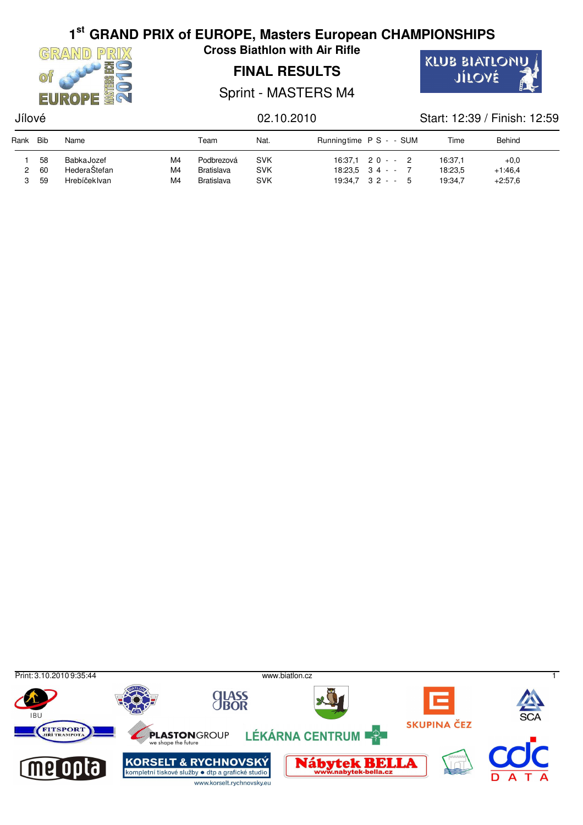

**Cross Biathlon with Air Rifle**

## **FINAL RESULTS**



Sprint - MASTERS M4

## Jílové 02.10.2010 Start: 12:39 / Finish: 12:59

| Rank | Bib | Name         |    | Team              | Nat.       | Runningtime P S - - SUM |  | Time    | Behind    |  |
|------|-----|--------------|----|-------------------|------------|-------------------------|--|---------|-----------|--|
|      | 58  | BabkaJozef   | M4 | Podbrezová        | <b>SVK</b> | $16:37.1$ 2 0 - - 2     |  | 16:37.1 | $+0.0$    |  |
|      | 60  | HederaŠtefan | M4 | <b>Bratislava</b> | <b>SVK</b> | $18:23.5$ 34 - - 7      |  | 18:23,5 | $+1.46,4$ |  |
|      | 59  | Hrebíčeklvan | M4 | <b>Bratislava</b> | <b>SVK</b> | $19:34.7$ $32 - 5$      |  | 19:34.7 | $+2:57.6$ |  |

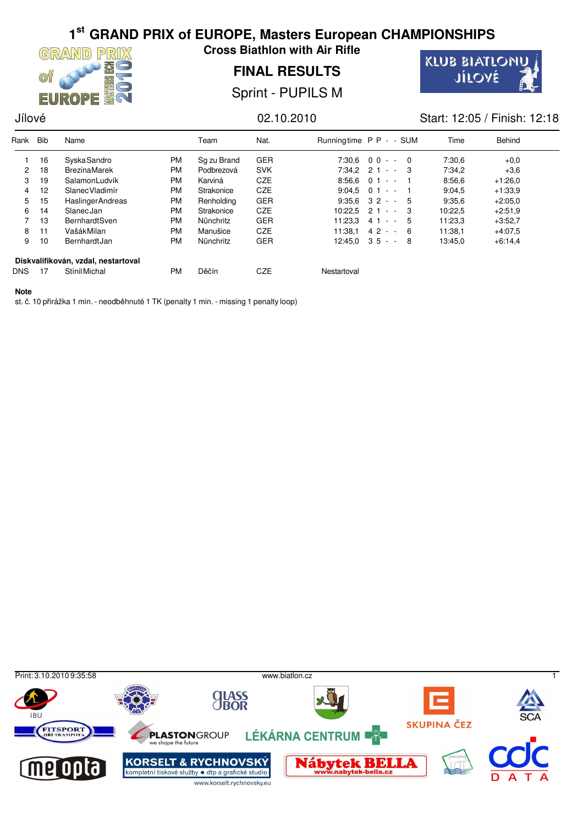

**Cross Biathlon with Air Rifle**

**FINAL RESULTS**

**KLUB BIATLONU** JÍLOVÉ

Sprint - PUPILS M

### Jílové 02.10.2010 Start: 12:05 / Finish: 12:18

| Rank       | <b>Bib</b> | Name                                |           | Team        | Nat.       | Runningtime P P - - SUM |                     |                | Time    | Behind    |  |
|------------|------------|-------------------------------------|-----------|-------------|------------|-------------------------|---------------------|----------------|---------|-----------|--|
|            | 16         | <b>SyskaSandro</b>                  | <b>PM</b> | Sq zu Brand | <b>GER</b> | 7:30.6                  | $00 - -$            | $\overline{0}$ | 7:30.6  | $+0.0$    |  |
| 2          | 18         | <b>BrezinaMarek</b>                 | <b>PM</b> | Podbrezová  | <b>SVK</b> |                         | $7:34.2$ 2 1 - - 3  |                | 7:34.2  | $+3.6$    |  |
| 3          | 19         | SalamonLudvík                       | <b>PM</b> | Karviná     | <b>CZE</b> | $8:56.6$ 0 1            | $\sim$ $ \sim$      |                | 8:56.6  | $+1:26.0$ |  |
| 4          | 12         | SlanecVladimír                      | <b>PM</b> | Strakonice  | <b>CZE</b> |                         | $9:04.5$ 0 1 - -    |                | 9:04.5  | $+1.33.9$ |  |
| 5          | 15         | <b>HaslingerAndreas</b>             | <b>PM</b> | Renholding  | <b>GER</b> |                         | $9:35.6$ $32 - 5$   |                | 9:35.6  | $+2:05.0$ |  |
| 6          | 14         | <b>SlanecJan</b>                    | <b>PM</b> | Strakonice  | <b>CZE</b> | 10:22.5                 | 21<br>$\sim$ $-$    | - 3            | 10:22.5 | $+2:51.9$ |  |
|            | 13         | <b>BernhardtSven</b>                | <b>PM</b> | Nünchritz   | <b>GER</b> | 11:23.3                 | 41 - - 5            |                | 11:23.3 | $+3:52.7$ |  |
| 8          | 11         | VašákMilan                          | <b>PM</b> | Manušice    | <b>CZE</b> | 11:38.1                 | $42 - -$            | - 6            | 11:38,1 | $+4.07.5$ |  |
| 9          | 10         | BernhardtJan                        | <b>PM</b> | Nünchritz   | <b>GER</b> |                         | $12:45.0$ $35 - -8$ |                | 13:45,0 | $+6.14,4$ |  |
|            |            | Diskvalifikován, vzdal, nestartoval |           |             |            |                         |                     |                |         |           |  |
| <b>DNS</b> | 17         | Stínil Michal                       | <b>PM</b> | Děčín       | <b>CZE</b> | Nestartoval             |                     |                |         |           |  |

### **Note**

st. č. 10 přirážka 1 min. - neodběhnuté 1 TK (penalty 1 min. - missing 1 penalty loop)

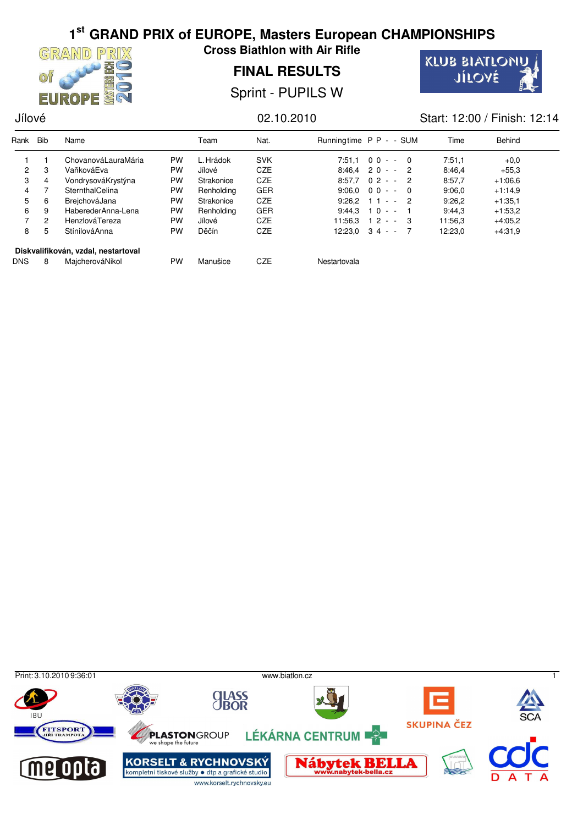

**Cross Biathlon with Air Rifle**

**FINAL RESULTS**

**KLUB BIATLONU** JÍLOVÉ

Sprint - PUPILS W

## Jílové 02.10.2010 Start: 12:00 / Finish: 12:14

| Rank           | <b>Bib</b> | Name                                |           | Team         | Nat.       | Runningtime P P - - SUM |                         |                | Time    | Behind    |  |
|----------------|------------|-------------------------------------|-----------|--------------|------------|-------------------------|-------------------------|----------------|---------|-----------|--|
|                |            | ChovanováLauraMária                 | <b>PW</b> | L. Hrádok    | <b>SVK</b> |                         | $7:51.1 \quad 00 - - 0$ |                | 7:51.1  | $+0.0$    |  |
| $\overline{2}$ | 3          | VaňkováEva                          | PW        | Jílové       | <b>CZE</b> |                         | $8:46.4$ 20 - - 2       |                | 8.46,4  | $+55.3$   |  |
| 3              | 4          | VondrysováKrystýna                  | <b>PW</b> | Strakonice   | <b>CZE</b> |                         | $8:57.7$ 0 2 - -        | $\overline{2}$ | 8.57.7  | $+1.06.6$ |  |
| 4              |            | SternthalCelina                     | PW        | Renholding   | <b>GER</b> |                         | $9:06.0 \quad 00 - -$   | _ი             | 9:06.0  | $+1:14.9$ |  |
| 5              | 6          | BreichováJana                       | PW        | Strakonice   | <b>CZE</b> | $9:26.2$ 1 1            | $- - 2$                 |                | 9:26,2  | $+1:35.1$ |  |
| 6              | 9          | HaberederAnna-Lena                  | PW        | Renholding   | <b>GER</b> | 9:44.3                  | $10 - -$                |                | 9:44.3  | $+1:53,2$ |  |
|                | 2          | HenzlováTereza                      | PW        | Jílové       | <b>CZE</b> | 11:56.3                 | $12 - 3$                |                | 11:56.3 | $+4.05,2$ |  |
| 8              | 5          | StínilováAnna                       | PW        | <b>Děčín</b> | <b>CZE</b> |                         | $12:23.0$ 3 4 - -       |                | 12:23.0 | $+4:31.9$ |  |
|                |            | Diskvalifikován, vzdal, nestartoval |           |              |            |                         |                         |                |         |           |  |
| <b>DNS</b>     | 8          | MajcherováNikol                     | <b>PW</b> | Manušice     | <b>CZE</b> | Nestartovala            |                         |                |         |           |  |

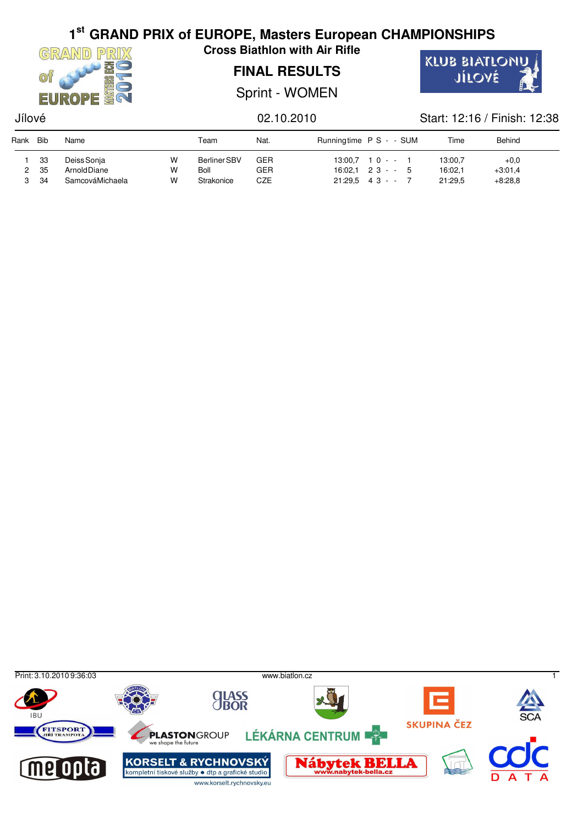

**Cross Biathlon with Air Rifle**

## **FINAL RESULTS**

Sprint - WOMEN



## Jílové 02.10.2010 Start: 12:16 / Finish: 12:38

| Rank | <b>Bib</b>       | Name                                                  |             | Team                                      | Nat.                     | Runningtime P S - - SUM |                                                                | Time                          | Behind                           |
|------|------------------|-------------------------------------------------------|-------------|-------------------------------------------|--------------------------|-------------------------|----------------------------------------------------------------|-------------------------------|----------------------------------|
|      | 33<br>-35<br>-34 | Deiss Sonja<br><b>Arnold Diane</b><br>SamcováMichaela | w<br>W<br>W | <b>Berliner SBV</b><br>Boll<br>Strakonice | GER<br>GER<br><b>CZE</b> |                         | $13:00.7$ 10 - -<br>$16.02.1$ 2 3 - - 5<br>$21:29.5$ 4 3 - - 7 | 13:00,7<br>16:02,1<br>21:29.5 | $+0.0$<br>$+3.01,4$<br>$+8:28.8$ |

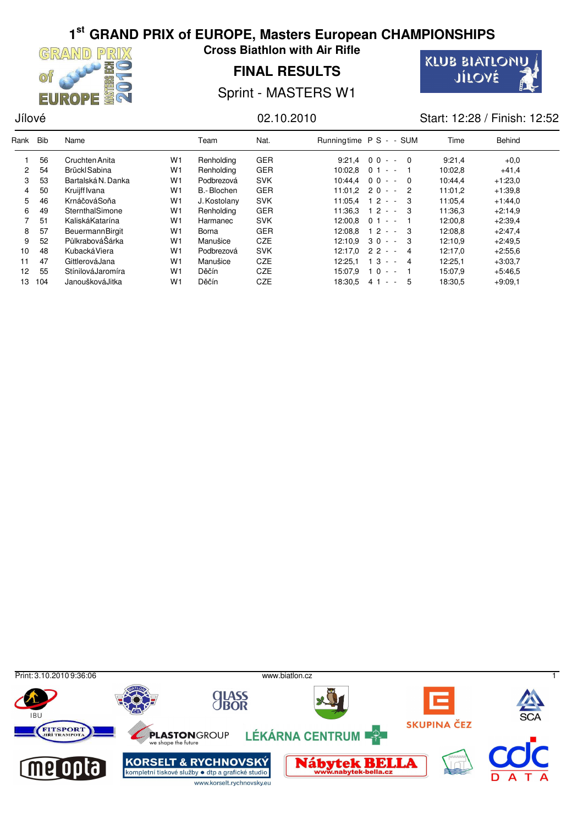

**Cross Biathlon with Air Rifle**

## **FINAL RESULTS**



Sprint - MASTERS W1

Jílové 02.10.2010 Start: 12:28 / Finish: 12:52

| Rank                 | <b>Bib</b> | Name                   |                | Team         | Nat.       |         | Runningtime P S - - SUM                         | Time    | Behind    |  |
|----------------------|------------|------------------------|----------------|--------------|------------|---------|-------------------------------------------------|---------|-----------|--|
|                      | 56         | Cruchten Anita         | W <sub>1</sub> | Renholding   | <b>GER</b> | 9:21.4  | $00 - - 0$                                      | 9:21.4  | $+0.0$    |  |
| $\mathbf{2}^{\circ}$ | 54         | Brückl Sabina          | W <sub>1</sub> | Renholding   | <b>GER</b> | 10:02.8 | 0 <sub>1</sub><br>$\sim$<br>$\sim$              | 10:02.8 | $+41.4$   |  |
| 3                    | 53         | Bartalská N. Danka     | W <sub>1</sub> | Podbrezová   | <b>SVK</b> |         | $10:44.4$ 0 0 - -<br>$\Omega$                   | 10:44.4 | $+1:23.0$ |  |
| 4                    | 50         | Kruijff Ivana          | W <sub>1</sub> | B.-Blochen   | <b>GER</b> |         | $11:01.2$ 2 0 - -<br>2                          | 11:01.2 | $+1:39.8$ |  |
| 5                    | 46         | KrnáčováSoňa           | W <sub>1</sub> | J. Kostolany | <b>SVK</b> | 11:05.4 | 12<br>3<br>$\sim$<br>$\overline{\phantom{a}}$   | 11:05.4 | $+1.44.0$ |  |
| 6                    | 49         | SternthalSimone        | W <sub>1</sub> | Renholding   | <b>GER</b> | 11:36.3 | $12 - 3$                                        | 11:36.3 | $+2:14.9$ |  |
|                      | 51         | KaliskáKatarína        | W <sub>1</sub> | Harmanec     | <b>SVK</b> | 12:00.8 | $01 - -$                                        | 12:00.8 | $+2:39,4$ |  |
| 8                    | 57         | <b>BeuermannBirgit</b> | W <sub>1</sub> | Borna        | <b>GER</b> | 12:08.8 | $12 -$<br>- 3<br>$\sim$                         | 12:08.8 | $+2:47,4$ |  |
| 9                    | 52         | PůlkrabováŠárka        | W <sub>1</sub> | Manušice     | <b>CZE</b> | 12:10.9 | $30 - - 3$                                      | 12:10.9 | $+2:49.5$ |  |
| 10                   | 48         | KubackáViera           | W <sub>1</sub> | Podbrezová   | <b>SVK</b> | 12:17.0 | $22 -$<br>4                                     | 12:17.0 | $+2:55.6$ |  |
| 11                   | 47         | GittlerováJana         | W <sub>1</sub> | Manušice     | <b>CZE</b> | 12:25.1 | 1 3<br>4<br>$\sim$<br>$\overline{\phantom{a}}$  | 12:25,1 | $+3:03,7$ |  |
| 12                   | 55         | StínilováJaromíra      | W <sub>1</sub> | <b>Děčín</b> | <b>CZE</b> | 15:07.9 | 1 <sub>0</sub><br>$\sim$ $ \sim$                | 15:07.9 | $+5.46.5$ |  |
| 13                   | 104        | Janoušková Jitka       | W <sub>1</sub> | <b>Děčín</b> | <b>CZE</b> | 18:30,5 | - 5<br>41<br>$\sim$<br>$\overline{\phantom{a}}$ | 18:30,5 | $+9:09.1$ |  |

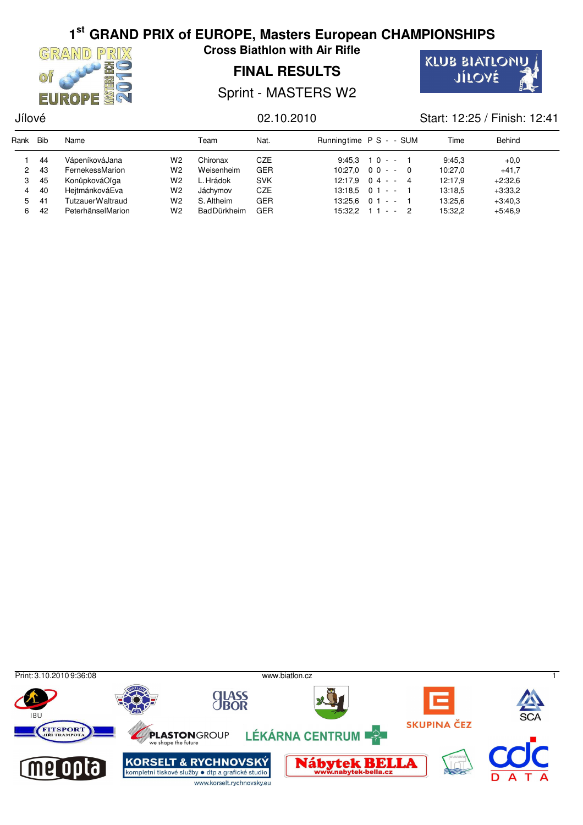

**Cross Biathlon with Air Rifle**

## **FINAL RESULTS**



Sprint - MASTERS W2

### Jílové 02.10.2010 Start: 12:25 / Finish: 12:41

| Rank | Bib | Name                    |                | Team               | Nat.       | Runningtime P S - - SUM |                          | Time    | Behind    |  |
|------|-----|-------------------------|----------------|--------------------|------------|-------------------------|--------------------------|---------|-----------|--|
|      | 44  | VápeníkováJana          | W2             | Chironax           | CZE        |                         | $9:45.3$ 10 - - 1        | 9.45.3  | $+0.0$    |  |
| 2    | 43  | FernekessMarion         | W <sub>2</sub> | Weisenheim         | <b>GER</b> |                         | $10:27.0 \quad 00 - - 0$ | 10:27.0 | $+41,7$   |  |
| 3    | 45  | KonůpkováOľga           | W2             | L. Hrádok          | <b>SVK</b> |                         | $12:17.9$ 04 - - 4       | 12:17.9 | $+2:32.6$ |  |
| 4    | 40  | HeitmánkováEva          | W2             | Jáchvmov           | CZE        |                         | $13:18.5$ 0 1 - - 1      | 13:18.5 | $+3:33.2$ |  |
| 5.   | 41  | <b>TutzauerWaltraud</b> | W2             | S. Altheim         | <b>GER</b> |                         | $13:25.6$ 0 1 - - 1      | 13:25.6 | $+3:40.3$ |  |
| 6.   | 42  | PeterhänselMarion       | W2             | <b>BadDürkheim</b> | <b>GER</b> |                         | $15:32.2$ 1 1 - - 2      | 15:32,2 | $+5.46.9$ |  |

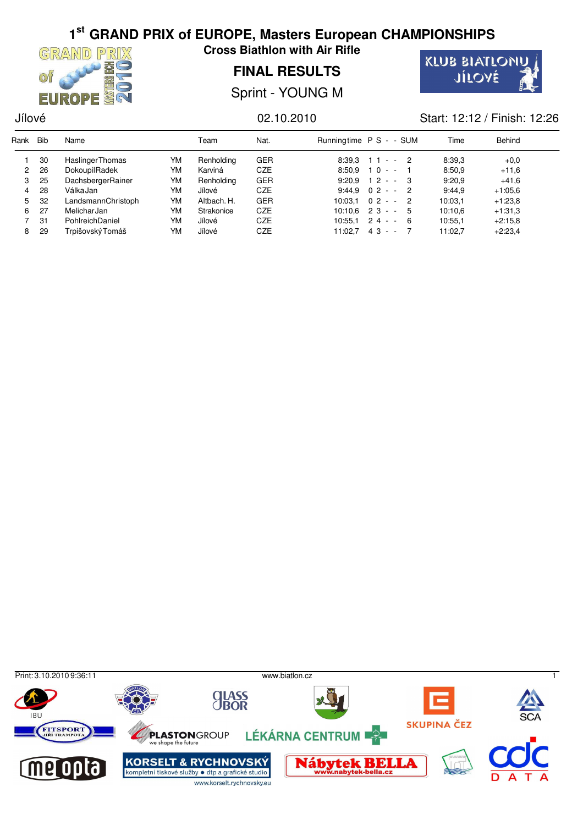

**Cross Biathlon with Air Rifle**

**FINAL RESULTS**

**KLUB BIATLONU** JÍLOVÉ

Sprint - YOUNG M

### Jílové 02.10.2010 Start: 12:12 / Finish: 12:26

| Rank           | <b>Bib</b> | Name                    |    | Team        | Nat.       | Runningtime P S - - SUM |                     | Time    | Behind    |  |
|----------------|------------|-------------------------|----|-------------|------------|-------------------------|---------------------|---------|-----------|--|
|                | 30         | <b>Haslinger Thomas</b> | YM | Renholding  | GER        | 8:39.3                  | $11 - 2$            | 8:39.3  | $+0.0$    |  |
| $\mathbf{2}$   | 26         | DokoupilRadek           | YM | Karviná     | <b>CZE</b> | 8:50.9                  | $10 - -$            | 8:50.9  | $+11.6$   |  |
| 3              | 25         | DachsbergerRainer       | YM | Renholding  | <b>GER</b> | 9:20.9                  | $12 - 3$            | 9:20.9  | $+41.6$   |  |
| $\overline{4}$ | 28         | Válka Jan               | YM | Jílové      | CZE        |                         | $9:44.9$ 0 2 - - 2  | 9:44.9  | $+1:05.6$ |  |
| 5              | 32         | LandsmannChristoph      | YM | Altbach. H. | <b>GER</b> | 10:03.1                 | $02 - 2$            | 10:03.1 | $+1:23.8$ |  |
| 6              | 27         | MelicharJan             | YM | Strakonice  | <b>CZE</b> |                         | $10:10.6$ 2 3 - - 5 | 10:10.6 | $+1.31.3$ |  |
|                | 31         | PohlreichDaniel         | YM | Jílové      | CZE        | 10:55.1                 | $24 - 6$            | 10:55.1 | $+2:15.8$ |  |
| 8              | 29         | Trpišovský Tomáš        | YM | Jílové      | CZE        | 11:02.7                 | $43 - -$            | 11:02.7 | $+2:23,4$ |  |

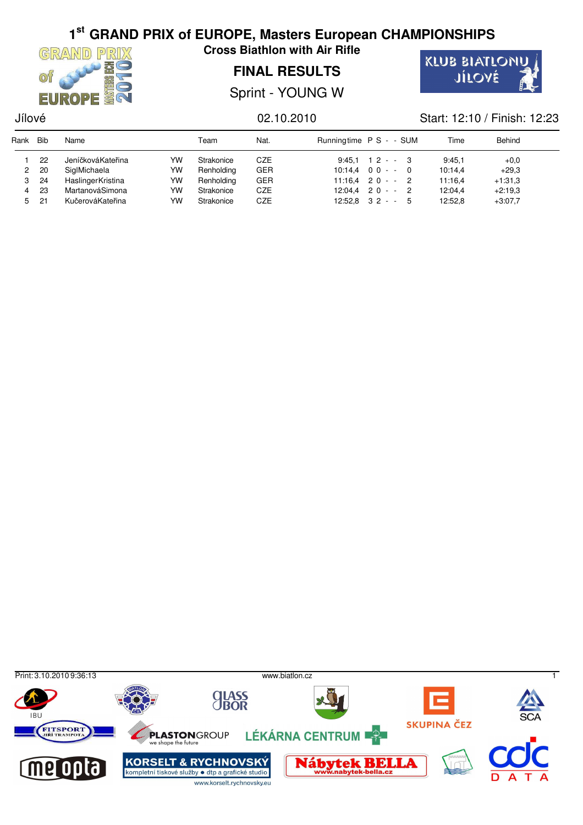

**Cross Biathlon with Air Rifle**

## **FINAL RESULTS**

Sprint - YOUNG W



### Jílové 02.10.2010 Start: 12:10 / Finish: 12:23

| Rank | Bib         | Name              |    | Team       | Nat.       | Runningtime P S - - SUM | Time    | Behind    |  |
|------|-------------|-------------------|----|------------|------------|-------------------------|---------|-----------|--|
|      | 22          | JeníčkováKateřina | YW | Strakonice | CZE        | $9:45.1$ 12 - - 3       | 9.45.1  | $+0.0$    |  |
|      | 20          | SiglMichaela      | YW | Renholding | <b>GER</b> | $10:14.4$ 0 0 - - 0     | 10:14.4 | $+29.3$   |  |
|      | -24         | HaslingerKristina | YW | Renholding | <b>GER</b> | $11:16.4$ 2 0 - - 2     | 11:16.4 | $+1.31.3$ |  |
| 4    | 23          | MartanováSimona   | YW | Strakonice | CZE        | $12:04.4$ 2 0 - - 2     | 12:04.4 | $+2:19.3$ |  |
|      | $5\quad 21$ | KučerováKateřina  | YW | Strakonice | CZE        | $12:52.8$ $32 - 5$      | 12:52.8 | $+3:07.7$ |  |

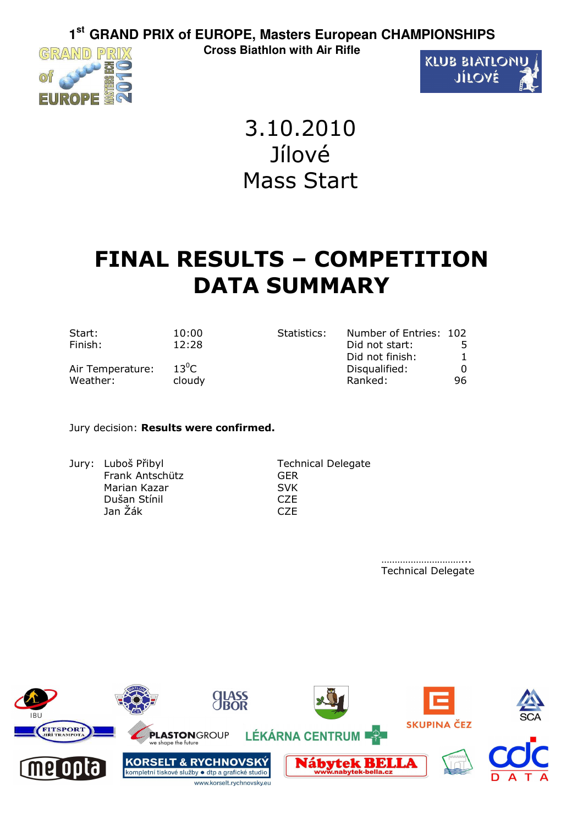GRAND PRIX



3.10.2010 Jílové Mass Start

# **FINAL RESULTS – COMPETITION DATA SUMMARY**

| Start:           | 10:00   | Statistics: | Number of Entries: 102 |    |
|------------------|---------|-------------|------------------------|----|
| Finish:          | 12:28   |             | Did not start:         |    |
|                  |         |             | Did not finish:        |    |
| Air Temperature: | $13^0C$ |             | Disqualified:          |    |
| Weather:         | cloudy  |             | Ranked:                | 96 |

### Jury decision: **Results were confirmed.**

Jury: Luboš Přibyl Technical Delegate Frank Antschütz GER Marian Kazar SVK Dušan Stínil Jan Žák CZE

…………………………… Technical Delegate

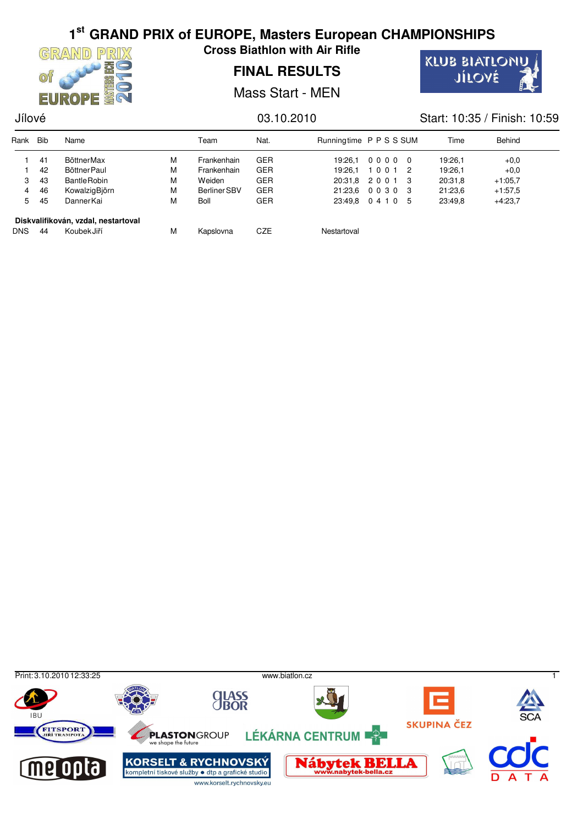

**Cross Biathlon with Air Rifle**

## **FINAL RESULTS**

Mass Start - MEN



### Jílové 03.10.2010 Start: 10:35 / Finish: 10:59

| Rank       | <b>Bib</b> | Name                                |   | Team                | Nat.       | Runningtime P P S S SUM |                   | Time    | Behind    |
|------------|------------|-------------------------------------|---|---------------------|------------|-------------------------|-------------------|---------|-----------|
|            | 41         | <b>BöttnerMax</b>                   | М | Frankenhain         | <b>GER</b> | 19:26.1                 | 00000             | 19:26.1 | $+0.0$    |
|            | 42         | Böttner Paul                        | М | Frankenhain         | <b>GER</b> | 19:26.1                 | 10012             | 19:26.1 | $+0.0$    |
| 3          | 43         | <b>Bantle Robin</b>                 | М | Weiden              | <b>GER</b> |                         | 20:31.8 2 0 0 1 3 | 20:31,8 | $+1:05.7$ |
| 4          | 46         | KowalzigBjörn                       | М | <b>Berliner SBV</b> | <b>GER</b> | 21:23.6                 | 00303             | 21:23.6 | $+1.57,5$ |
| 5          | 45         | DannerKai                           | М | <b>Boll</b>         | <b>GER</b> |                         | 23:49.8 0 4 1 0 5 | 23:49.8 | $+4:23.7$ |
|            |            | Diskvalifikován, vzdal, nestartoval |   |                     |            |                         |                   |         |           |
| <b>DNS</b> | 44         | KoubekJiří                          | М | Kapslovna           | CZE        | Nestartoval             |                   |         |           |

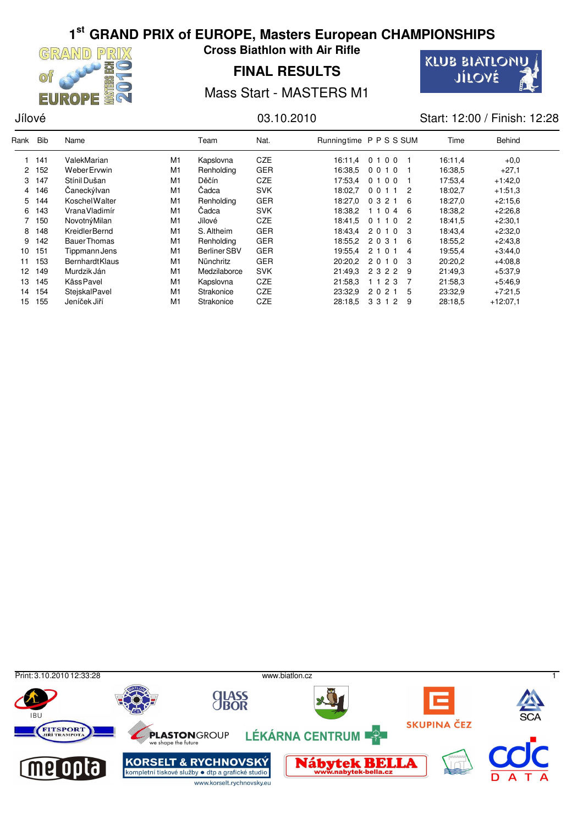

**Cross Biathlon with Air Rifle**

## **FINAL RESULTS**



Mass Start - MASTERS M1

Jílové 03.10.2010 Start: 12:00 / Finish: 12:28

| Rank         | <b>Bib</b> | Name                  |    | Team         | Nat.       | Runningtime P P S S SUM |           |     | Time    | Behind     |  |
|--------------|------------|-----------------------|----|--------------|------------|-------------------------|-----------|-----|---------|------------|--|
|              | 141        | ValekMarian           | M1 | Kapslovna    | <b>CZE</b> | 16:11.4                 | 0100      |     | 16:11.4 | $+0.0$     |  |
| $\mathbf{2}$ | 152        | Weber Ervwin          | M1 | Renholding   | <b>GER</b> | 16:38.5                 | 0010      |     | 16:38.5 | $+27.1$    |  |
| 3            | 147        | Stínil Dušan          | M1 | Děčín        | <b>CZE</b> | 17:53.4                 | 0 1 0 0   |     | 17:53,4 | $+1.42.0$  |  |
| 4            | 146        | Caneckýlvan           | M1 | Čadca        | <b>SVK</b> | 18:02.7                 | 0011      | 2   | 18:02,7 | $+1.51.3$  |  |
| 5.           | 144        | Koschel Walter        | M1 | Renholding   | GER        | 18:27,0                 | 0 3 2 1   | 6   | 18:27,0 | $+2:15.6$  |  |
| 6            | 143        | VranaVladimír         | M1 | Čadca        | <b>SVK</b> | 18:38.2                 | 1 1 0 4   | - 6 | 18:38,2 | $+2.26.8$  |  |
|              | 150        | NovotnýMilan          | M1 | Jílové       | <b>CZE</b> | 18:41.5                 | 0 1 1 0 2 |     | 18:41,5 | $+2:30,1$  |  |
| 8            | 148        | KreidlerBernd         | M1 | S. Altheim   | <b>GER</b> | 18:43.4                 | 2 0 1 0   | - 3 | 18:43,4 | $+2.32.0$  |  |
| 9            | 142        | <b>Bauer Thomas</b>   | M1 | Renholding   | <b>GER</b> | 18:55.2                 | 2 0 3 1   | -6  | 18:55,2 | $+2:43.8$  |  |
| 10           | 151        | Tippmann Jens         | M1 | Berliner SBV | <b>GER</b> | 19:55.4                 | 2 1 0 1   | 4   | 19:55,4 | $+3.44.0$  |  |
| 11           | 153        | <b>BernhardtKlaus</b> | M1 | Nünchritz    | <b>GER</b> | 20:20.2                 | 2010      | - 3 | 20:20,2 | $+4.08.8$  |  |
| 12           | 149        | Murdzik Ján           | M1 | Medzilaborce | <b>SVK</b> | 21:49.3                 | 2 3 2 2   | -9  | 21:49.3 | $+5:37.9$  |  |
| 13           | 145        | <b>KässPavel</b>      | M1 | Kapslovna    | <b>CZE</b> | 21:58.3                 | 1 1 2 3   |     | 21:58.3 | $+5:46.9$  |  |
| 14           | 154        | StejskalPavel         | M1 | Strakonice   | <b>CZE</b> | 23:32.9                 | 2 0 2 1   | 5   | 23:32,9 | $+7:21.5$  |  |
| 15           | 155        | Jeníček Jiří          | M1 | Strakonice   | <b>CZE</b> | 28.18.5                 | 3312      | -9  | 28:18.5 | $+12:07.1$ |  |

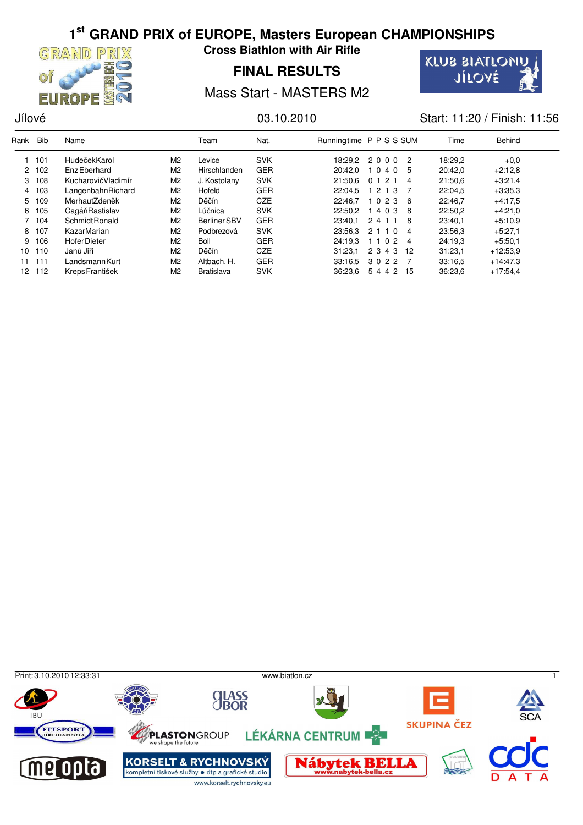

**Cross Biathlon with Air Rifle**

## **FINAL RESULTS**



Mass Start - MASTERS M2

Jílové 03.10.2010 Start: 11:20 / Finish: 11:56

| Rank            | <b>Bib</b> | Name                  |                | Team              | Nat.       |         | Runningtime P P S S SUM | Time    | Behind     |  |
|-----------------|------------|-----------------------|----------------|-------------------|------------|---------|-------------------------|---------|------------|--|
|                 | 101        | HudečekKarol          | M2             | Levice            | <b>SVK</b> |         | $18:29.2$ 2000 2        | 18:29,2 | $+0.0$     |  |
|                 | 2 102      | Enz Eberhard          | M <sub>2</sub> | Hirschlanden      | <b>GER</b> | 20:42.0 | 1040 5                  | 20:42.0 | $+2:12.8$  |  |
| 3               | 108        | KucharovičVladimír    | M <sub>2</sub> | J. Kostolany      | <b>SVK</b> | 21:50.6 | 012<br>$\overline{4}$   | 21:50.6 | $+3:21,4$  |  |
|                 | 4 103      | LangenbahnRichard     | M2             | Hofeld            | <b>GER</b> | 22:04.5 | 1 2 1 3 7               | 22:04.5 | $+3.35.3$  |  |
| 5.              | 109        | MerhautZdeněk         | M2             | Děčín             | <b>CZE</b> | 22:46.7 | 1 0 2 3 6               | 22:46.7 | $+4.17.5$  |  |
| 6               | 105        | CagáňRastislav        | M2             | Lúčnica           | <b>SVK</b> | 22:50.2 | 14038                   | 22:50.2 | $+4:21.0$  |  |
|                 | 7 104      | Schmidt Ronald        | M <sub>2</sub> | Berliner SBV      | <b>GER</b> | 23:40.1 | 2411<br>- 8             | 23:40.1 | $+5:10.9$  |  |
| 8               | 107        | KazarMarian           | M2             | Podbrezová        | <b>SVK</b> | 23:56.3 | 2 1 1 0 4               | 23:56.3 | $+5:27.1$  |  |
| 9               | 106        | <b>HoferDieter</b>    | M2             | <b>Boll</b>       | <b>GER</b> | 24:19.3 | 1 1 0 2 4               | 24:19.3 | $+5.50,1$  |  |
| 10 <sup>1</sup> | 110        | Janů Jiří             | M2             | Děčín             | <b>CZE</b> | 31:23.1 | 2 3 4 3 12              | 31:23.1 | $+12:53.9$ |  |
| 11              | 111        | Landsmann Kurt        | M2             | Altbach. H.       | <b>GER</b> | 33:16.5 | 3022 7                  | 33:16.5 | $+14.47.3$ |  |
| 12              | 112        | <b>KrepsFrantišek</b> | M2             | <b>Bratislava</b> | <b>SVK</b> | 36:23.6 | 5 4 4 2 15              | 36:23.6 | $+17.54.4$ |  |

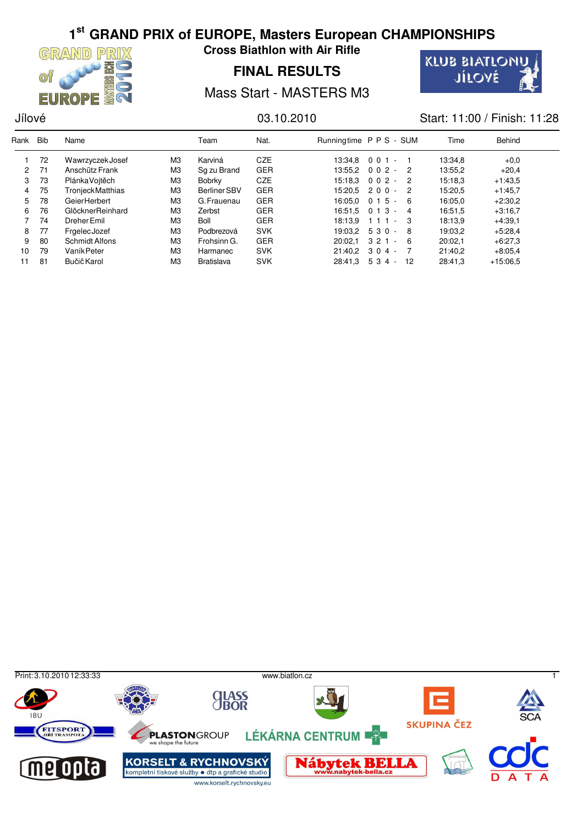

**Cross Biathlon with Air Rifle**

**FINAL RESULTS**



Mass Start - MASTERS M3

## Jílové 03.10.2010 Start: 11:00 / Finish: 11:28

| Rank         | <b>Bib</b> | Name                  |                | Team              | Nat.       | Runningtime P P S - SUM |                   |                | Time    | <b>Behind</b> |  |
|--------------|------------|-----------------------|----------------|-------------------|------------|-------------------------|-------------------|----------------|---------|---------------|--|
|              | 72         | Wawrzyczek Josef      | MЗ             | Karviná           | <b>CZE</b> |                         | $13:34.8$ 0 0 1 - |                | 13:34,8 | $+0.0$        |  |
| $\mathbf{2}$ | 71         | Anschütz Frank        | M <sub>3</sub> | Sq zu Brand       | <b>GER</b> |                         | $13:55.2$ 0 0 2 - | $\overline{2}$ | 13:55,2 | $+20.4$       |  |
| 3            | 73         | PlánkaVoitěch         | M <sub>3</sub> | <b>Bobrky</b>     | <b>CZE</b> |                         | $15:18.3$ 0 0 2 - | - 2            | 15:18.3 | $+1:43.5$     |  |
| 4            | 75         | TronjeckMatthias      | M <sub>3</sub> | Berliner SBV      | <b>GER</b> |                         | $15:20.5$ 2 0 0 - | $\overline{2}$ | 15:20.5 | $+1:45,7$     |  |
| 5.           | 78         | GeierHerbert          | M <sub>3</sub> | G. Frauenau       | <b>GER</b> | 16:05.0 0 1 5           | $\sim$            | - 6            | 16:05.0 | $+2:30,2$     |  |
| 6            | 76         | GlöcknerReinhard      | M <sub>3</sub> | Zerbst            | <b>GER</b> | 16:51.5                 | 013<br>$\sim$     | $\overline{4}$ | 16:51.5 | $+3:16,7$     |  |
|              | 74         | Dreher Emil           | M <sub>3</sub> | <b>Boll</b>       | <b>GER</b> | 18:13.9                 | $111 -$           | - 3            | 18:13.9 | $+4:39,1$     |  |
| 8            | 77         | FrgelecJozef          | M <sub>3</sub> | Podbrezová        | <b>SVK</b> |                         | $19:03.2$ 5 3 0 - | - 8            | 19:03.2 | $+5.28.4$     |  |
| 9            | 80         | <b>Schmidt Alfons</b> | M <sub>3</sub> | Frohsinn G.       | <b>GER</b> | 20:02.1                 | $321 -$           | - 6            | 20:02.1 | $+6:27.3$     |  |
| 10           | 79         | Vaník Peter           | M <sub>3</sub> | Harmanec          | <b>SVK</b> |                         | $21:40.2$ 3 0 4 - |                | 21:40.2 | $+8.05,4$     |  |
| 11           | 81         | Bučič Karol           | M <sub>3</sub> | <b>Bratislava</b> | <b>SVK</b> | 28:41.3                 | 534 -             | -12            | 28:41,3 | $+15.06.5$    |  |

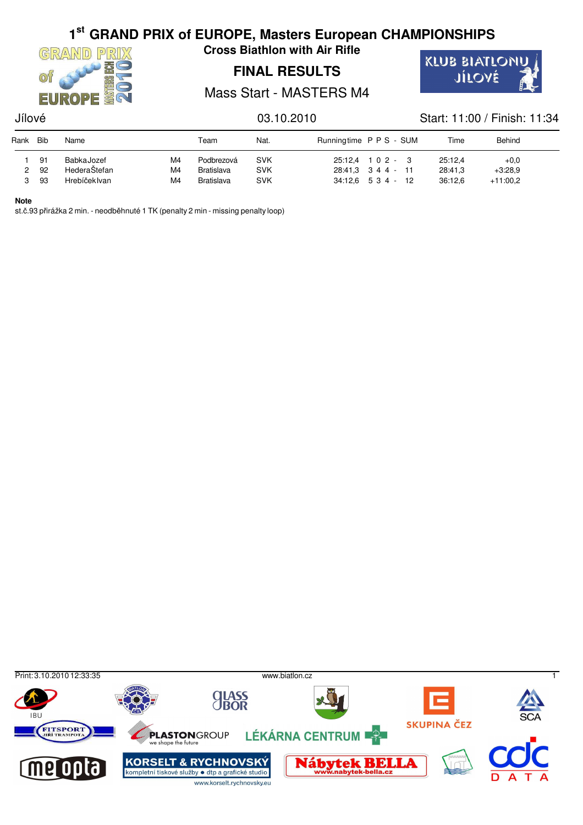

**Cross Biathlon with Air Rifle**

## **FINAL RESULTS**



Mass Start - MASTERS M4

## Jílové 03.10.2010 Start: 11:00 / Finish: 11:34

| Rank | <b>Bib</b> | Name                 |    | Team              | Nat.       | Runningtime P P S - SUM |                     | Time    | Behind     |
|------|------------|----------------------|----|-------------------|------------|-------------------------|---------------------|---------|------------|
|      | 91         | BabkaJozef           | M4 | Podbrezová        | <b>SVK</b> |                         | $25:12.4$ 1 0 2 - 3 | 25:12.4 | $+0.0$     |
|      | 92         | HederaŠtefan         | M4 | <b>Bratislava</b> | <b>SVK</b> |                         | 28:41.3 3 4 4 - 11  | 28:41.3 | $+3:28.9$  |
|      | -93        | <b>Hrebíček Ivan</b> | M4 | <b>Bratislava</b> | <b>SVK</b> |                         | 34:12.6 534 - 12    | 36:12.6 | $+11:00.2$ |

### **Note**

st.č.93 přirážka 2 min. - neodběhnuté 1 TK (penalty 2 min - missing penalty loop)

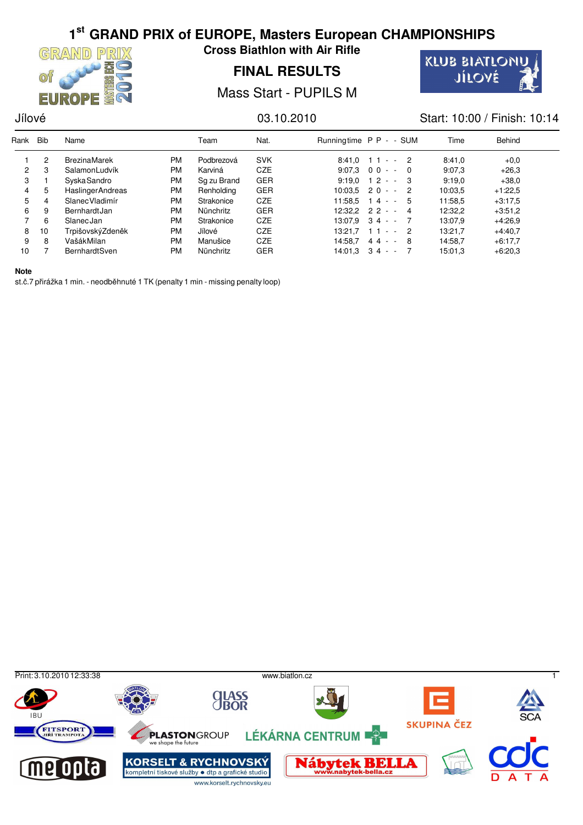

**Cross Biathlon with Air Rifle**

**FINAL RESULTS**



Mass Start - PUPILS M

## Jílové 03.10.2010 Start: 10:00 / Finish: 10:14

| Rank         | <b>Bib</b> | Name                    |           | Team        | Nat.       | Runningtime P P - - SUM |                     |                | Time    | Behind    |
|--------------|------------|-------------------------|-----------|-------------|------------|-------------------------|---------------------|----------------|---------|-----------|
|              | 2          | <b>BrezinaMarek</b>     | <b>PM</b> | Podbrezová  | <b>SVK</b> |                         | $8:41.0$ 11 - 2     |                | 8:41.0  | $+0.0$    |
| $\mathbf{2}$ | 3          | SalamonLudvík           | PM        | Karviná     | CZE        |                         | $9:07.3$ 0 0 - -    | $\overline{0}$ | 9:07.3  | $+26.3$   |
| 3            |            | <b>SyskaSandro</b>      | PM        | Sq zu Brand | <b>GER</b> | 9:19.0                  | $12 - 3$            |                | 9:19.0  | $+38.0$   |
| 4            | 5          | <b>HaslingerAndreas</b> | PM        | Renholding  | <b>GER</b> |                         | $10:03.5$ 2 0 - - 2 |                | 10:03.5 | $+1:22.5$ |
| 5.           | 4          | <b>SlanecVladimír</b>   | <b>PM</b> | Strakonice  | <b>CZE</b> | 11:58.5                 | $14 - 5$            |                | 11:58,5 | $+3.17.5$ |
| 6            | 9          | BernhardtJan            | <b>PM</b> | Nünchritz   | <b>GER</b> |                         | $12:32.2$ 2 2 - - 4 |                | 12:32,2 | $+3.51,2$ |
|              | 6          | SlanecJan               | <b>PM</b> | Strakonice  | <b>CZE</b> |                         | $13:07.9$ 34 - -    |                | 13:07,9 | $+4:26.9$ |
| 8            | 10         | TrpišovskýZdeněk        | <b>PM</b> | Jílové      | <b>CZE</b> | 13:21.7                 | $- - 2$<br>11       |                | 13:21,7 | $+4.40,7$ |
| 9            | 8          | VašákMilan              | <b>PM</b> | Manušice    | <b>CZE</b> | 14:58.7                 | $44 - 8$            |                | 14:58,7 | $+6:17.7$ |
| 10           |            | <b>BernhardtSven</b>    | PM        | Nünchritz   | <b>GER</b> | 14:01.3                 | $34 - -$            |                | 15:01.3 | $+6:20.3$ |

**Note**

st.č.7 přirážka 1 min. - neodběhnuté 1 TK (penalty 1 min - missing penalty loop)

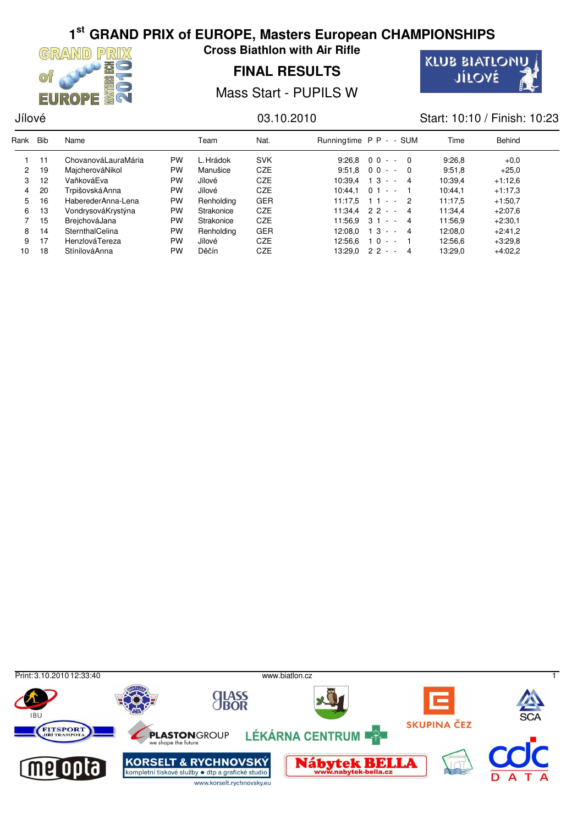

**Cross Biathlon with Air Rifle**

**FINAL RESULTS**



Mass Start - PUPILS W

## Jílové 03.10.2010 Start: 10:10 / Finish: 10:23

| Rank                 | <b>Bib</b> | Name                |           | Team       | Nat.       |         | Runningtime P P - - SUM | Time    | Behind    |
|----------------------|------------|---------------------|-----------|------------|------------|---------|-------------------------|---------|-----------|
|                      | 11         | ChovanováLauraMária | <b>PW</b> | L. Hrádok  | <b>SVK</b> | 9:26.8  | $00 - 0$                | 9:26.8  | $+0.0$    |
| $\mathbf{2}^{\circ}$ | 19         | MajcherováNikol     | <b>PW</b> | Manušice   | <b>CZE</b> |         | $9:51.8$ 0 0 - - 0      | 9:51.8  | $+25.0$   |
| 3                    | 12         | VaňkováEva          | <b>PW</b> | Jílové     | CZE        | 10:39.4 | $13 - 4$                | 10:39,4 | $+1:12.6$ |
| 4                    | 20         | Trpišovská Anna     | PW        | Jílové     | <b>CZE</b> | 10:44.1 | $01 - -$                | 10:44.1 | $+1:17.3$ |
| 5.                   | 16         | HaberederAnna-Lena  | PW        | Renholding | <b>GER</b> | 11:17.5 | $11 - 2$                | 11:17.5 | $+1:50.7$ |
| 6.                   | 13         | VondrysováKrystýna  | PW        | Strakonice | <b>CZE</b> |         | $11:34.4$ 2 2 - - 4     | 11:34,4 | $+2:07.6$ |
|                      | 15         | BreichováJana       | PW        | Strakonice | <b>CZE</b> | 11:56.9 | $31 -$<br>$-4$          | 11:56,9 | $+2:30,1$ |
| 8                    | 14         | SternthalCelina     | PW        | Renholding | <b>GER</b> | 12:08.0 | $13 - 4$                | 12:08.0 | $+2:41,2$ |
| 9                    | 17         | HenzlováTereza      | PW        | Jílové     | CZE        | 12:56.6 | $10 - -$                | 12:56.6 | $+3:29.8$ |
| 10                   | 18         | StínilováAnna       | <b>PW</b> | Děčín      | CZE        | 13:29.0 | 22<br>4<br>$\sim$       | 13:29,0 | $+4:02.2$ |

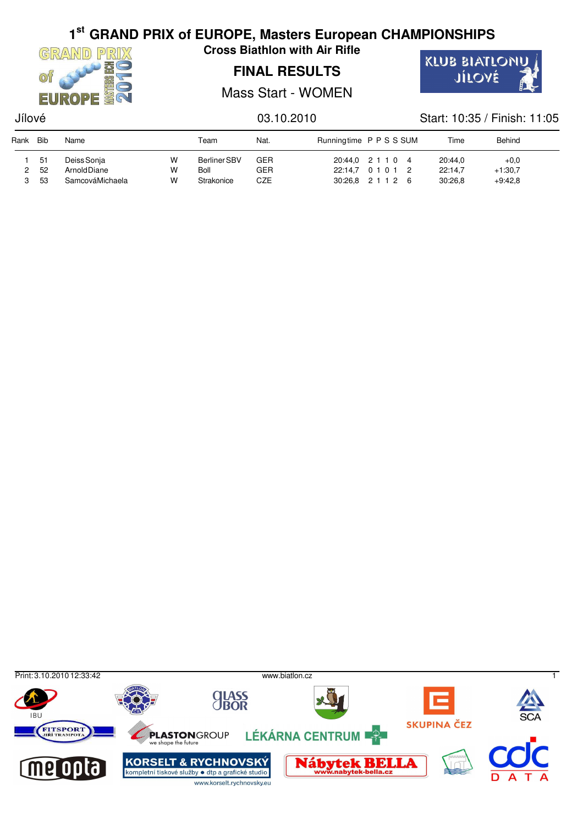

**Cross Biathlon with Air Rifle**

## **FINAL RESULTS**

KLUB BIATLONU JÍLOVÉ

Mass Start - WOMEN

## Jílové 03.10.2010 Start: 10:35 / Finish: 11:05

| Rank | Bib | Name            |   | Team         | Nat.       | Runningtime PPSSSUM | Time    | Behind    |  |
|------|-----|-----------------|---|--------------|------------|---------------------|---------|-----------|--|
|      | 51  | Deiss Sonja     | W | Berliner SBV | <b>GER</b> | 20:44,0 2 1 1 0 4   | 20:44.0 | $+0.0$    |  |
|      | -52 | Arnold Diane    | w | Boll         | <b>GER</b> | 22:14.7 0 1 0 1 2   | 22:14.7 | $+1:30.7$ |  |
|      | 53  | SamcováMichaela | W | Strakonice   | CZE        | 30:26.8 2 1 1 2 6   | 30:26.8 | $+9.42.8$ |  |

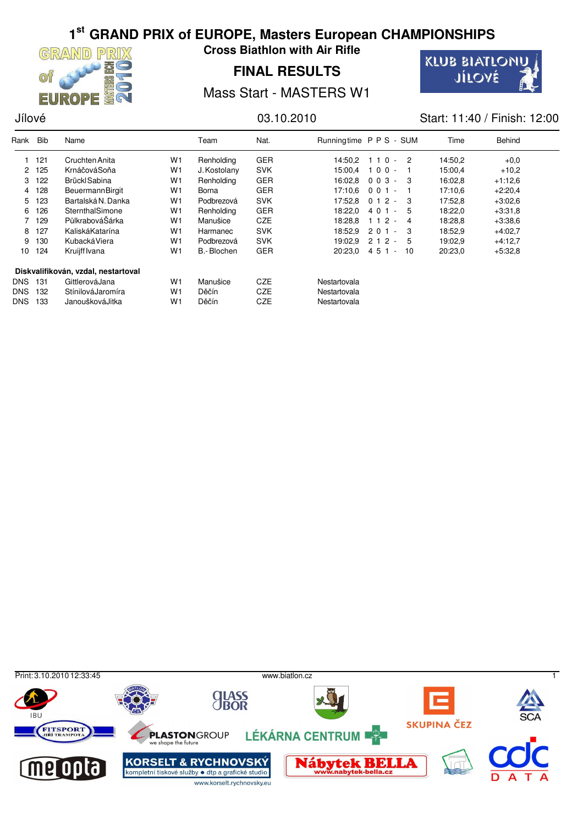

**Cross Biathlon with Air Rifle**

## **FINAL RESULTS**



Mass Start - MASTERS W1

Jílové 03.10.2010 Start: 11:40 / Finish: 12:00

| Rank         | <b>Bib</b> | Name                                |                | Team         | Nat.       | Runningtime P P S - SUM |         |               | Time    | <b>Behind</b> |  |
|--------------|------------|-------------------------------------|----------------|--------------|------------|-------------------------|---------|---------------|---------|---------------|--|
|              | 121        | Cruchten Anita                      | W1             | Renholding   | <b>GER</b> | 14:50.2                 | 1 1 0   | - 2<br>$\sim$ | 14:50,2 | $+0.0$        |  |
| $\mathbf{2}$ | 125        | KrnáčováSoňa                        | W <sub>1</sub> | J. Kostolany | <b>SVK</b> | 15:00.4                 | $100 -$ |               | 15:00.4 | $+10,2$       |  |
| 3            | 122        | Brückl Sabina                       | W <sub>1</sub> | Renholding   | <b>GER</b> | 16:02.8                 | 003     | - 3<br>$\sim$ | 16:02.8 | $+1:12.6$     |  |
| 4            | 128        | <b>BeuermannBirgit</b>              | W <sub>1</sub> | Borna        | <b>GER</b> | 17:10.6                 | $001 -$ |               | 17:10.6 | $+2:20,4$     |  |
| 5.           | 123        | Bartalská N. Danka                  | W1             | Podbrezová   | <b>SVK</b> | 17:52.8                 | $012 -$ | - 3           | 17:52,8 | $+3:02.6$     |  |
| 6            | 126        | SternthalSimone                     | W1             | Renholding   | <b>GER</b> | 18:22.0                 | $401 -$ | 5             | 18:22,0 | $+3.31.8$     |  |
|              | 129        | PůlkrabováŠárka                     | W <sub>1</sub> | Manušice     | <b>CZE</b> | 18:28.8                 | 1 1 2   | -4<br>$\sim$  | 18:28.8 | $+3.38.6$     |  |
| 8            | 127        | KaliskáKatarína                     | W <sub>1</sub> | Harmanec     | <b>SVK</b> | 18:52.9                 | $201 -$ | 3             | 18:52.9 | $+4:02.7$     |  |
| 9            | 130        | KubackáViera                        | W <sub>1</sub> | Podbrezová   | <b>SVK</b> | 19:02.9                 | 2 1 2   | - 5<br>$\sim$ | 19:02.9 | $+4:12,7$     |  |
| 10           | 124        | Kruijff Ivana                       | W1             | B.-Blochen   | <b>GER</b> | 20:23.0                 | 451     | 10<br>$\sim$  | 20:23,0 | $+5.32.8$     |  |
|              |            | Diskvalifikován, vzdal, nestartoval |                |              |            |                         |         |               |         |               |  |
| <b>DNS</b>   | 131        | GittlerováJana                      | W <sub>1</sub> | Manušice     | <b>CZE</b> | Nestartovala            |         |               |         |               |  |
| <b>DNS</b>   | 132        | StínilováJaromíra                   | W <sub>1</sub> | Děčín        | <b>CZE</b> | Nestartovala            |         |               |         |               |  |
| <b>DNS</b>   | 133        | JanouškováJitka                     | W <sub>1</sub> | Děčín        | <b>CZE</b> | Nestartovala            |         |               |         |               |  |

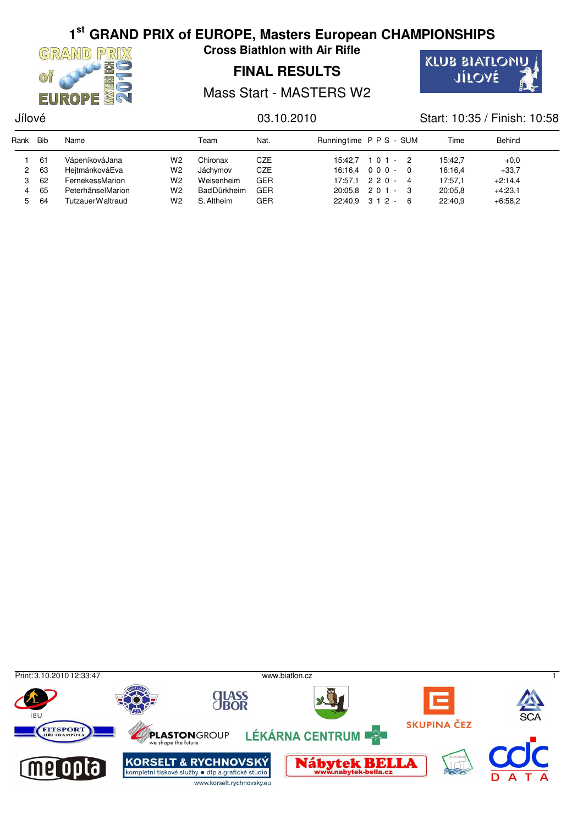

**Cross Biathlon with Air Rifle**

## **FINAL RESULTS**



Mass Start - MASTERS W2

## Jílové 03.10.2010 Start: 10:35 / Finish: 10:58

| Rank | Bib | Name              |                | Team               | Nat.       | Runningtime P P S - SUM |                     | Time    | Behind    |  |
|------|-----|-------------------|----------------|--------------------|------------|-------------------------|---------------------|---------|-----------|--|
|      | 61  | VápeníkováJana    | W2             | Chironax           | CZE        | 15:42.7                 | $101 - 2$           | 15:42.7 | $+0.0$    |  |
| 2    | 63  | HeitmánkováEva    | W2             | Jáchvmov           | <b>CZE</b> |                         | $16:16.4$ 000 - 0   | 16:16.4 | $+33.7$   |  |
|      | 62  | FernekessMarion   | W2             | Weisenheim         | GER        |                         | $17:57.1$ 2 2 0 - 4 | 17:57.1 | $+2:14,4$ |  |
| 4    | 65  | PeterhänselMarion | W2             | <b>BadDürkheim</b> | <b>GER</b> |                         | $20:05.8$ 2 0 1 - 3 | 20:05.8 | $+4:23.1$ |  |
| 5.   | 64  | TutzauerWaltraud  | W <sub>2</sub> | S. Altheim         | <b>GER</b> |                         | $22:40.9$ 3 1 2 - 6 | 22:40.9 | $+6:58.2$ |  |

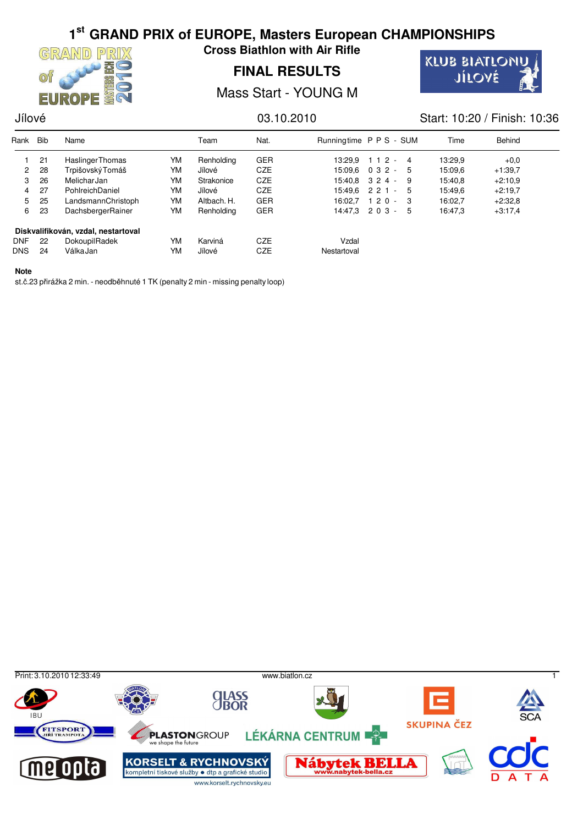

**Cross Biathlon with Air Rifle**

## **FINAL RESULTS**

**KLUB BIATLONU** JÍLOVÉ

Mass Start - YOUNG M

## Jílové 03.10.2010 Start: 10:20 / Finish: 10:36

| Rank                 | <b>Bib</b> | Name                                |    | Team        | Nat.       | Runningtime P P S - SUM |                   |              | Time    | Behind    |
|----------------------|------------|-------------------------------------|----|-------------|------------|-------------------------|-------------------|--------------|---------|-----------|
|                      | 21         | <b>Haslinger Thomas</b>             | YM | Renholding  | <b>GER</b> | 13:29.9                 | $112 - 4$         |              | 13:29,9 | $+0.0$    |
| $\mathbf{2}^{\circ}$ | 28         | Trpišovský Tomáš                    | YM | Jílové      | <b>CZE</b> | 15:09.6                 | $032 -$           | - 5          | 15:09.6 | $+1:39,7$ |
| 3                    | 26         | MelicharJan                         | YM | Strakonice  | <b>CZE</b> |                         | $15:40.8$ 3 2 4 - | -9           | 15:40,8 | $+2:10.9$ |
| 4                    | 27         | PohlreichDaniel                     | YM | Jílové      | <b>CZE</b> |                         | $15:49.6$ 2 2 1 - | - 5          | 15:49.6 | $+2:19.7$ |
| 5.                   | 25         | LandsmannChristoph                  | YM | Altbach. H. | <b>GER</b> | 16:02.7                 | 120<br>$\sim$     | $\mathbf{3}$ | 16:02,7 | $+2:32.8$ |
| 6                    | 23         | DachsbergerRainer                   | YM | Renholding  | <b>GER</b> |                         | $14:47.3$ 2 0 3 - | -5           | 16:47,3 | $+3:17,4$ |
|                      |            | Diskvalifikován, vzdal, nestartoval |    |             |            |                         |                   |              |         |           |
| <b>DNF</b>           | 22         | DokoupilRadek                       | YM | Karviná     | <b>CZE</b> | Vzdal                   |                   |              |         |           |
| <b>DNS</b>           | 24         | VálkaJan                            | YM | Jílové      | CZE        | Nestartoval             |                   |              |         |           |

### **Note**

st.č.23 přirážka 2 min. - neodběhnuté 1 TK (penalty 2 min - missing penalty loop)